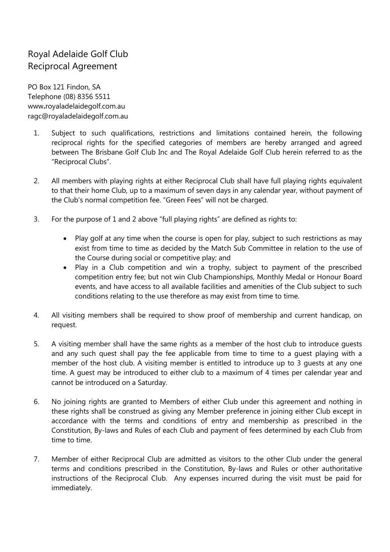## Royal Adelaide Golf Club Reciprocal Agreement

PO Box 121 Findon, SA Telephone (08) 8356 5511 www**.**[royaladelaidegolf.com.au](http://www.royaladelaidegolf.com.au/)  [ragc@royaladelaidegolf.com.au](mailto:ragc@royaladelaidegolf.com.au)

- 1. Subject to such qualifications, restrictions and limitations contained herein, the following reciprocal rights for the specified categories of members are hereby arranged and agreed between The Brisbane Golf Club Inc and The Royal Adelaide Golf Club herein referred to as the "Reciprocal Clubs".
- 2. All members with playing rights at either Reciprocal Club shall have full playing rights equivalent to that their home Club, up to a maximum of seven days in any calendar year, without payment of the Club's normal competition fee. "Green Fees" will not be charged.
- 3. For the purpose of 1 and 2 above "full playing rights" are defined as rights to:
	- Play golf at any time when the course is open for play, subject to such restrictions as may exist from time to time as decided by the Match Sub Committee in relation to the use of the Course during social or competitive play; and
	- Play in a Club competition and win a trophy, subject to payment of the prescribed competition entry fee; but not win Club Championships, Monthly Medal or Honour Board events, and have access to all available facilities and amenities of the Club subject to such conditions relating to the use therefore as may exist from time to time.
- 4. All visiting members shall be required to show proof of membership and current handicap, on request.
- 5. A visiting member shall have the same rights as a member of the host club to introduce guests and any such quest shall pay the fee applicable from time to time to a guest playing with a member of the host club. A visiting member is entitled to introduce up to 3 guests at any one time. A guest may be introduced to either club to a maximum of 4 times per calendar year and cannot be introduced on a Saturday.
- 6. No joining rights are granted to Members of either Club under this agreement and nothing in these rights shall be construed as giving any Member preference in joining either Club except in accordance with the terms and conditions of entry and membership as prescribed in the Constitution, By-laws and Rules of each Club and payment of fees determined by each Club from time to time.
- 7. Member of either Reciprocal Club are admitted as visitors to the other Club under the general terms and conditions prescribed in the Constitution, By-laws and Rules or other authoritative instructions of the Reciprocal Club. Any expenses incurred during the visit must be paid for immediately.